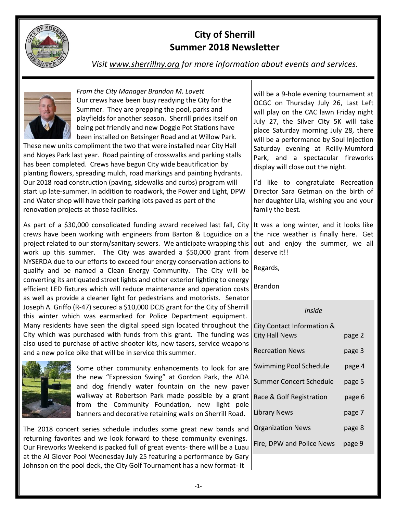

# **City of Sherrill Summer 2018 Newsletter**

*Visit [www.sherrillny.org](http://www.sherrillny.org/) for more information about events and services.*



*From the City Manager Brandon M. Lovett*  Our crews have been busy readying the City for the Summer. They are prepping the pool, parks and playfields for another season. Sherrill prides itself on being pet friendly and new Doggie Pot Stations have been installed on Betsinger Road and at Willow Park.

These new units compliment the two that were installed near City Hall and Noyes Park last year. Road painting of crosswalks and parking stalls has been completed. Crews have begun City wide beautification by planting flowers, spreading mulch, road markings and painting hydrants. Our 2018 road construction (paving, sidewalks and curbs) program will start up late-summer. In addition to roadwork, the Power and Light, DPW and Water shop will have their parking lots paved as part of the renovation projects at those facilities.

As part of a \$30,000 consolidated funding award received last fall, City crews have been working with engineers from Barton & Loguidice on a project related to our storm/sanitary sewers. We anticipate wrapping this work up this summer. The City was awarded a \$50,000 grant from NYSERDA due to our efforts to exceed four energy conservation actions to qualify and be named a Clean Energy Community. The City will be converting its antiquated street lights and other exterior lighting to energy efficient LED fixtures which will reduce maintenance and operation costs as well as provide a cleaner light for pedestrians and motorists. Senator Joseph A. Griffo (R-47) secured a \$10,000 DCJS grant for the City of Sherrill this winter which was earmarked for Police Department equipment. Many residents have seen the digital speed sign located throughout the City which was purchased with funds from this grant. The funding was also used to purchase of active shooter kits, new tasers, service weapons and a new police bike that will be in service this summer.



Some other community enhancements to look for are the new "Expression Swing" at Gordon Park, the ADA and dog friendly water fountain on the new paver walkway at Robertson Park made possible by a grant from the Community Foundation, new light pole banners and decorative retaining walls on Sherrill Road.

The 2018 concert series schedule includes some great new bands and returning favorites and we look forward to these community evenings. Our Fireworks Weekend is packed full of great events- there will be a Luau at the Al Glover Pool Wednesday July 25 featuring a performance by Gary Johnson on the pool deck, the City Golf Tournament has a new format- it

will be a 9-hole evening tournament at OCGC on Thursday July 26, Last Left will play on the CAC lawn Friday night July 27, the Silver City 5K will take place Saturday morning July 28, there will be a performance by Soul Injection Saturday evening at Reilly-Mumford Park, and a spectacular fireworks display will close out the night.

I'd like to congratulate Recreation Director Sara Getman on the birth of her daughter Lila, wishing you and your family the best.

It was a long winter, and it looks like the nice weather is finally here. Get out and enjoy the summer, we all deserve it!!

Regards,

Brandon

*Inside*

| City Contact Information &<br><b>City Hall News</b> | page 2 |
|-----------------------------------------------------|--------|
| <b>Recreation News</b>                              | page 3 |
| <b>Swimming Pool Schedule</b>                       | page 4 |
| Summer Concert Schedule                             | page 5 |
| Race & Golf Registration                            | page 6 |
| <b>Library News</b>                                 | page 7 |
| <b>Organization News</b>                            | page 8 |
| Fire, DPW and Police News                           | page 9 |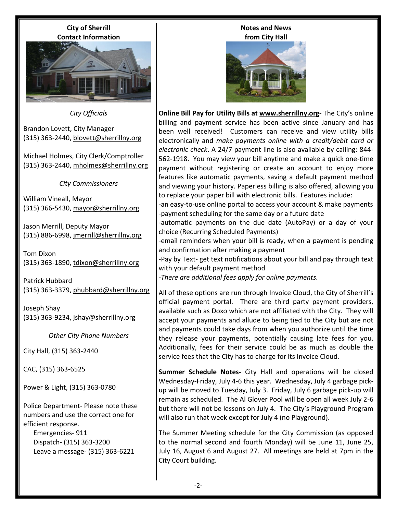**City of Sherrill Contact Information**



*City Officials*

Brandon Lovett, City Manager (315) 363-2440, [blovett@sherrillny.org](mailto:blovett@sherrillny.org)

Michael Holmes, City Clerk/Comptroller (315) 363-2440, [mholmes@sherrillny.org](mailto:mholmes@sherrillny.org)

*City Commissioners*

William Vineall, Mayor (315) 366-5430, [mayor@sherrillny.org](mailto:mayor@sherrillny.org)

Jason Merrill, Deputy Mayor (315) 886-6998, [jmerrill@sherrillny.org](mailto:jmerrill@sherrillny.org)

Tom Dixon (315) 363-1890, [tdixon@sherrillny.org](mailto:tdixon@sherrillny.org)

Patrick Hubbard (315) 363-3379, [phubbard@sherrillny.org](mailto:phubbard@sherrillny.org)

Joseph Shay (315) 363-9234, [jshay@sherrillny.org](mailto:jshay@sherrillny.org)

*Other City Phone Numbers*

City Hall, (315) 363-2440

CAC, (315) 363-6525

Power & Light, (315) 363-0780

Police Department- Please note these numbers and use the correct one for efficient response.

 Emergencies- 911 Dispatch- (315) 363-3200 Leave a message- (315) 363-6221

### **Notes and News from City Hall**



**Online Bill Pay for Utility Bills at [www.sherrillny.org-](http://www.sherrillny.org/)** The City's online billing and payment service has been active since January and has been well received! Customers can receive and view utility bills electronically and *make payments online with a credit/debit card or electronic check*. A 24/7 payment line is also available by calling: 844- 562-1918. You may view your bill anytime and make a quick one-time payment without registering or create an account to enjoy more features like automatic payments, saving a default payment method and viewing your history. Paperless billing is also offered, allowing you to replace your paper bill with electronic bills. Features include:

-an easy-to-use online portal to access your account & make payments -payment scheduling for the same day or a future date

-automatic payments on the due date (AutoPay) or a day of your choice (Recurring Scheduled Payments)

-email reminders when your bill is ready, when a payment is pending and confirmation after making a payment

-Pay by Text- get text notifications about your bill and pay through text with your default payment method

*-There are additional fees apply for online payments.*

All of these options are run through Invoice Cloud, the City of Sherrill's official payment portal. There are third party payment providers, available such as Doxo which are not affiliated with the City. They will accept your payments and allude to being tied to the City but are not and payments could take days from when you authorize until the time they release your payments, potentially causing late fees for you. Additionally, fees for their service could be as much as double the service fees that the City has to charge for its Invoice Cloud.

**Summer Schedule Notes-** City Hall and operations will be closed Wednesday-Friday, July 4-6 this year. Wednesday, July 4 garbage pickup will be moved to Tuesday, July 3. Friday, July 6 garbage pick-up will remain as scheduled. The Al Glover Pool will be open all week July 2-6 but there will not be lessons on July 4. The City's Playground Program will also run that week except for July 4 (no Playground).

The Summer Meeting schedule for the City Commission (as opposed to the normal second and fourth Monday) will be June 11, June 25, July 16, August 6 and August 27. All meetings are held at 7pm in the City Court building.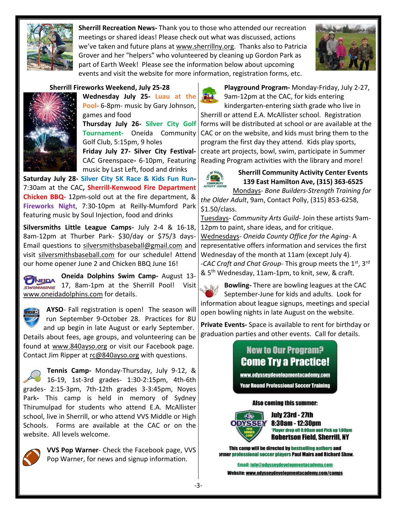

**Sherrill Recreation News-** Thank you to those who attended our recreation meetings or shared ideas! Please check out what was discussed, actions we've taken and future plans at www.sherrillny.org. Thanks also to Patricia Grover and her "helpers" who volunteered by cleaning up Gordon Park as part of Earth Week! Please see the information below about upcoming events and visit the website for more information, registration forms, etc.



# **Sherrill Fireworks Weekend, July 25-28**



**Wednesday July 25- Luau at the Pool**- 6-8pm- music by Gary Johnson, games and food **Thursday July 26- Silver City Golf Tournament-** Oneida Community Golf Club, 5:15pm, 9 holes **Friday July 27- Silver City Festival-**

CAC Greenspace**-** 6-10pm, Featuring music by Last Left, food and drinks

**Saturday July 28- Silver City 5K Race & Kids Fun Run-**7:30am at the CAC**, Sherrill-Kenwood Fire Department Chicken BBQ-** 12pm-sold out at the fire department, & **Fireworks Night**, 7:30-10pm at Reilly-Mumford Park featuring music by Soul Injection, food and drinks

**Silversmiths Little League Camps-** July 2-4 & 16-18, 8am-12pm at Thurber Park- \$30/day or \$75/3 days-Email questions to [silversmithsbaseball@gmail.com](mailto:silversmithsbaseball@gmail.com) and visit silversmithsbaseball.com for our schedule! Attend our home opener June 2 and Chicken BBQ June 16!

**Oneida Dolphins Swim Camp-** August 13- **ONEIDA** 17, 8am-1pm at the Sherrill Pool! Visit [www.oneidadolphins.com](http://www.oneidadolphins.com/) for details.



**AYSO**- Fall registration is open! The season will run September 9-October 28. Practices for 8U and up begin in late August or early September. Details about fees, age groups, and volunteering can be found at [www.840ayso.org](http://www.840ayso.org/) or visit our Facebook page.

Contact Jim Ripper at [rc@840ayso.org](mailto:rc@840ayso.org) with questions.

**Tennis Camp-** Monday-Thursday, July 9-12, & 16-19, 1st-3rd grades- 1:30-2:15pm, 4th-6th grades- 2:15-3pm, 7th-12th grades 3-3:45pm, Noyes Park**-** This camp is held in memory of Sydney Thirumulpad for students who attend E.A. McAllister school, live in Sherrill, or who attend VVS Middle or High Schools. Forms are available at the CAC or on the website. All levels welcome.



**VVS Pop Warner**- Check the Facebook page, VVS Pop Warner, for news and signup information.



**Playground Program-** Monday-Friday, July 2-27, 9am-12pm at the CAC, for kids entering kindergarten-entering sixth grade who live in Sherrill or attend E.A. McAllister school. Registration forms will be distributed at school or are available at the CAC or on the website, and kids must bring them to the program the first day they attend. Kids play sports,

create art projects, bowl, swim, participate in Summer Reading Program activities with the library and more!



**Sherrill Community Activity Center Events 139 East Hamilton Ave, (315) 363-6525**

Mondays- *Bone Builders-Strength Training for the Older Adult*, 9am, Contact Polly, (315) 853-6258, \$1.50/class.

Tuesdays- *Community Arts Guild*- Join these artists 9am-12pm to paint, share ideas, and for critique. Wednesdays- *Oneida County Office for the Aging*- A representative offers information and services the first Wednesday of the month at 11am (except July 4). -CAC Craft and Chat Group- This group meets the 1<sup>st</sup>, 3<sup>rd</sup> & 5th Wednesday, 11am-1pm, to knit, sew, & craft.

**Bowling-** There are bowling leagues at the CAC  $Q, \rho_{0}$ September-June for kids and adults. Look for information about league signups, meetings and special open bowling nights in late August on the website.

**Private Events-** Space is available to rent for birthday or graduation parties and other events. Call for details.

# **New to Our Program? Come Try a Practice!**

www.odysseydevelopmentacademy.com

**Year Round Professional Soccer Training** 

#### **Also coming this summer:**



July 23rd - 27th 8:30am - 12:30pm 'Player drop off 8:00am and Pick up 1:00pm **Robertson Field, Sherrill, NY** 

This camp will be directed by bestselling authors and **ormer professional soccer players Paul Mairs and Richard Shaw.** 

**Email: info@odysseydevelopmentacademy.com** Website: www.odysseydevelopmentacademy.com/camps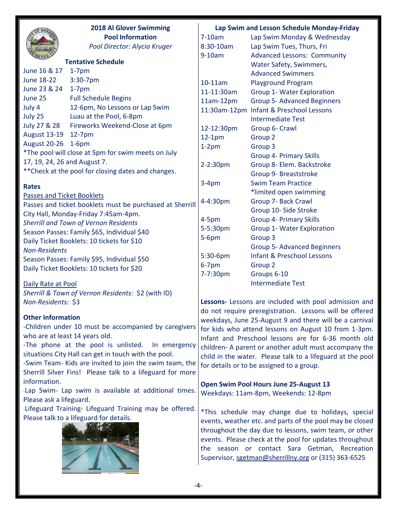|                              | <b>2018 Al Glover Swimming</b>                            |                                                                                                                | Lap Swim and Lesson Schedule Monday-Friday                                                               |
|------------------------------|-----------------------------------------------------------|----------------------------------------------------------------------------------------------------------------|----------------------------------------------------------------------------------------------------------|
|                              | <b>Pool Information</b>                                   | $7-10am$                                                                                                       | Lap Swim Monday & Wednesday                                                                              |
|                              | Pool Director: Alycia Kruger                              | 8:30-10am                                                                                                      | Lap Swim Tues, Thurs, Fri                                                                                |
|                              |                                                           | $9-10am$                                                                                                       | <b>Advanced Lessons: Community</b>                                                                       |
|                              | <b>Tentative Schedule</b>                                 |                                                                                                                | Water Safety, Swimmers,                                                                                  |
| June 16 & 17                 | $1-7$ pm                                                  |                                                                                                                | <b>Advanced Swimmers</b>                                                                                 |
| <b>June 18-22</b>            | 3:30-7pm                                                  | 10-11am                                                                                                        | <b>Playground Program</b>                                                                                |
| June 23 & 24                 | $1-7$ pm                                                  | 11-11:30am                                                                                                     | Group 1- Water Exploration                                                                               |
| June 25                      | <b>Full Schedule Begins</b>                               | $11am-12pm$                                                                                                    | <b>Group 5- Advanced Beginners</b>                                                                       |
| July 4                       | 12-6pm, No Lessons or Lap Swim                            |                                                                                                                | 11:30am-12pm Infant & Preschool Lessons                                                                  |
| July 25                      | Luau at the Pool, 6-8pm                                   |                                                                                                                | <b>Intermediate Test</b>                                                                                 |
| July 27 & 28                 | Fireworks Weekend-Close at 6pm                            | 12-12:30pm                                                                                                     | Group 6- Crawl                                                                                           |
| <b>August 13-19</b>          | $12-7$ pm                                                 | $12-1pm$                                                                                                       | Group 2                                                                                                  |
| August 20-26                 | $1-6$ pm                                                  | $1-2pm$                                                                                                        | Group <sub>3</sub>                                                                                       |
|                              | *The pool will close at 5pm for swim meets on July        |                                                                                                                | <b>Group 4- Primary Skills</b>                                                                           |
| 17, 19, 24, 26 and August 7. |                                                           | 2-2:30pm                                                                                                       | Group 8- Elem. Backstroke                                                                                |
|                              | ** Check at the pool for closing dates and changes.       |                                                                                                                | Group 9- Breaststroke                                                                                    |
| <b>Rates</b>                 |                                                           | $3-4pm$                                                                                                        | <b>Swim Team Practice</b>                                                                                |
| Passes and Ticket Booklets   |                                                           |                                                                                                                | *limited open swimming                                                                                   |
|                              | Passes and ticket booklets must be purchased at Sherrill  | 4-4:30pm                                                                                                       | Group 7- Back Crawl                                                                                      |
|                              | City Hall, Monday-Friday 7:45am-4pm.                      |                                                                                                                | Group 10- Side Stroke                                                                                    |
|                              | Sherrill and Town of Vernon Residents                     | $4-5pm$                                                                                                        | <b>Group 4- Primary Skills</b>                                                                           |
|                              | Season Passes: Family \$65, Individual \$40               | 5-5:30pm                                                                                                       | Group 1- Water Exploration                                                                               |
|                              | Daily Ticket Booklets: 10 tickets for \$10                | $5-6pm$                                                                                                        | Group 3                                                                                                  |
| <b>Non-Residents</b>         |                                                           |                                                                                                                | <b>Group 5- Advanced Beginners</b>                                                                       |
|                              | Season Passes: Family \$95, Individual \$50               | 5:30-6pm                                                                                                       | <b>Infant &amp; Preschool Lessons</b>                                                                    |
|                              | Daily Ticket Booklets: 10 tickets for \$20                | $6-7$ pm                                                                                                       | Group 2                                                                                                  |
|                              |                                                           | 7-7:30pm                                                                                                       | Groups 6-10                                                                                              |
| Daily Rate at Pool           |                                                           |                                                                                                                | <b>Intermediate Test</b>                                                                                 |
|                              | Sherrill & Town of Vernon Residents: \$2 (with ID)        |                                                                                                                |                                                                                                          |
| Non-Residents: \$3           |                                                           |                                                                                                                | Lessons- Lessons are included with pool admission and                                                    |
| <b>Other Information</b>     |                                                           |                                                                                                                | do not require preregistration. Lessons will be offered                                                  |
|                              | -Children under 10 must be accompanied by caregivers      |                                                                                                                | weekdays, June 25-August 9 and there will be a carnival                                                  |
|                              | who are at least 14 years old.                            | for kids who attend lessons on August 10 from 1-3pm.                                                           |                                                                                                          |
|                              | -The phone at the pool is unlisted.<br>In emergency       | Infant and Preschool lessons are for 6-36 month old                                                            |                                                                                                          |
|                              | situations City Hall can get in touch with the pool.      | children- A parent or another adult must accompany the                                                         |                                                                                                          |
|                              | -Swim Team- Kids are invited to join the swim team, the   | child in the water. Please talk to a lifeguard at the pool                                                     |                                                                                                          |
|                              | Sherrill Silver Fins! Please talk to a lifeguard for more | for details or to be assigned to a group.                                                                      |                                                                                                          |
| information.                 |                                                           |                                                                                                                |                                                                                                          |
|                              | -Lap Swim- Lap swim is available at additional times.     |                                                                                                                | Open Swim Pool Hours June 25-August 13                                                                   |
| Please ask a lifeguard.      |                                                           |                                                                                                                | Weekdays: 11am-8pm, Weekends: 12-8pm                                                                     |
|                              | -Lifeguard Training- Lifeguard Training may be offered.   |                                                                                                                |                                                                                                          |
|                              | Please talk to a lifeguard for details.                   | *This schedule may change due to holidays, special<br>events, weather etc. and parts of the pool may be closed |                                                                                                          |
|                              |                                                           |                                                                                                                |                                                                                                          |
|                              |                                                           |                                                                                                                | throughout the day due to lessons, swim team, or other                                                   |
|                              |                                                           |                                                                                                                | events. Please check at the pool for updates throughout<br>the season or contact Sara Getman, Recreation |
|                              |                                                           |                                                                                                                | Supervisor, sgetman@sherrillny.org or (315) 363-6525                                                     |
|                              |                                                           |                                                                                                                |                                                                                                          |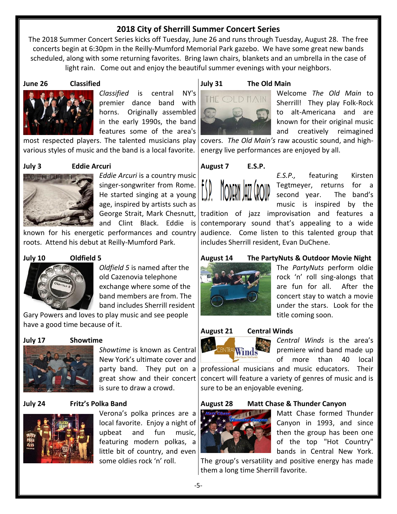# **2018 City of Sherrill Summer Concert Series**

The 2018 Summer Concert Series kicks off Tuesday, June 26 and runs through Tuesday, August 28. The free concerts begin at 6:30pm in the Reilly-Mumford Memorial Park gazebo. We have some great new bands scheduled, along with some returning favorites. Bring lawn chairs, blankets and an umbrella in the case of light rain. Come out and enjoy the beautiful summer evenings with your neighbors.

### **June 26 Classified**



# *Classified* is central NY's premier dance band with horns. Originally assembled in the early 1990s, the band features some of the area's

most respected players. The talented musicians play various styles of music and the band is a local favorite.

### **July 3 Eddie Arcuri**

**DDIE ARCURI JR** 

*Eddie Arcuri* is a country music singer-songwriter from Rome. He started singing at a young age, inspired by artists such as George Strait, Mark Chesnutt, and Clint Black. Eddie is

known for his energetic performances and country roots. Attend his debut at Reilly-Mumford Park.

# **July 10 Oldfield 5**

*Oldfield 5* is named after the old Cazenovia telephone exchange where some of the band members are from. The band includes Sherrill resident

Gary Powers and loves to play music and see people have a good time because of it.

#### **July 17 Showtime**



*Showtime* is known as Central New York's ultimate cover and party band. They put on a great show and their concert is sure to draw a crowd.

#### **July 24 Fritz's Polka Band**



Verona's polka princes are a local favorite. Enjoy a night of upbeat and fun music, featuring modern polkas, a little bit of country, and even some oldies rock 'n' roll.

# **July 31 The Old Main**



Welcome *The Old Main* to Sherrill! They play Folk-Rock to alt-Americana and are known for their original music and creatively reimagined

covers. *The Old Main's* raw acoustic sound, and highenergy live performances are enjoyed by all.

# **August 7 E.S.P.**



*E.S.P.,* featuring Kirsten Tegtmeyer, returns for a second year. The band's music is inspired by the

tradition of jazz improvisation and features a contemporary sound that's appealing to a wide audience. Come listen to this talented group that includes Sherrill resident, Evan DuChene.

# **August 14 The PartyNuts & Outdoor Movie Night**



The *PartyNuts* perform oldie rock 'n' roll sing-alongs that are fun for all. After the concert stay to watch a movie under the stars. Look for the title coming soon.



Winds

*Central Winds* is the area's premiere wind band made up of more than 40 local

professional musicians and music educators. Their concert will feature a variety of genres of music and is sure to be an enjoyable evening.

#### **August 28 Matt Chase & Thunder Canyon**



Matt Chase formed Thunder Canyon in 1993, and since then the group has been one of the top "Hot Country" bands in Central New York.

The group's versatility and positive energy has made them a long time Sherrill favorite.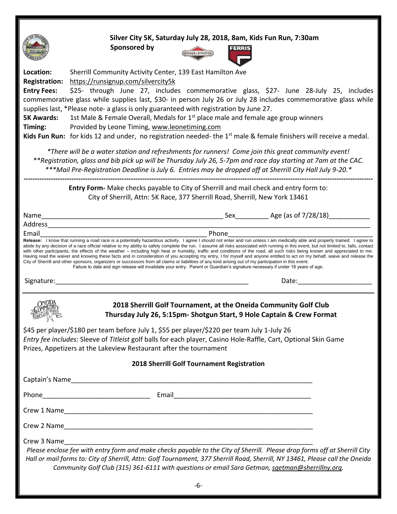

**Silver City 5K, Saturday July 28, 2018, 8am, Kids Fun Run, 7:30am**

 **Sponsored by**



| Location:                                                                                                                                                                                                                                                                            | Sherrill Community Activity Center, 139 East Hamilton Ave                                                                                                                                                                                                                                                                                                                                                                                                                                                                                                                                                                                                                                                                                                                                                                                            |  |  |  |  |
|--------------------------------------------------------------------------------------------------------------------------------------------------------------------------------------------------------------------------------------------------------------------------------------|------------------------------------------------------------------------------------------------------------------------------------------------------------------------------------------------------------------------------------------------------------------------------------------------------------------------------------------------------------------------------------------------------------------------------------------------------------------------------------------------------------------------------------------------------------------------------------------------------------------------------------------------------------------------------------------------------------------------------------------------------------------------------------------------------------------------------------------------------|--|--|--|--|
| <b>Registration:</b>                                                                                                                                                                                                                                                                 | https://runsignup.com/silvercity5k                                                                                                                                                                                                                                                                                                                                                                                                                                                                                                                                                                                                                                                                                                                                                                                                                   |  |  |  |  |
| <b>Entry Fees:</b>                                                                                                                                                                                                                                                                   | \$25- through June 27, includes commemorative glass, \$27- June 28-July 25, includes                                                                                                                                                                                                                                                                                                                                                                                                                                                                                                                                                                                                                                                                                                                                                                 |  |  |  |  |
|                                                                                                                                                                                                                                                                                      | commemorative glass while supplies last, \$30- in person July 26 or July 28 includes commemorative glass while                                                                                                                                                                                                                                                                                                                                                                                                                                                                                                                                                                                                                                                                                                                                       |  |  |  |  |
|                                                                                                                                                                                                                                                                                      | supplies last, *Please note- a glass is only guaranteed with registration by June 27.                                                                                                                                                                                                                                                                                                                                                                                                                                                                                                                                                                                                                                                                                                                                                                |  |  |  |  |
| <b>5K Awards:</b>                                                                                                                                                                                                                                                                    | 1st Male & Female Overall, Medals for 1 <sup>st</sup> place male and female age group winners                                                                                                                                                                                                                                                                                                                                                                                                                                                                                                                                                                                                                                                                                                                                                        |  |  |  |  |
| Timing:                                                                                                                                                                                                                                                                              | Provided by Leone Timing, www.leonetiming.com                                                                                                                                                                                                                                                                                                                                                                                                                                                                                                                                                                                                                                                                                                                                                                                                        |  |  |  |  |
|                                                                                                                                                                                                                                                                                      | Kids Fun Run: for kids 12 and under, no registration needed- the 1 <sup>st</sup> male & female finishers will receive a medal.                                                                                                                                                                                                                                                                                                                                                                                                                                                                                                                                                                                                                                                                                                                       |  |  |  |  |
|                                                                                                                                                                                                                                                                                      | *There will be a water station and refreshments for runners! Come join this great community event!                                                                                                                                                                                                                                                                                                                                                                                                                                                                                                                                                                                                                                                                                                                                                   |  |  |  |  |
|                                                                                                                                                                                                                                                                                      | **Registration, glass and bib pick up will be Thursday July 26, 5-7pm and race day starting at 7am at the CAC.                                                                                                                                                                                                                                                                                                                                                                                                                                                                                                                                                                                                                                                                                                                                       |  |  |  |  |
|                                                                                                                                                                                                                                                                                      | ***Mail Pre-Registration Deadline is July 6. Entries may be dropped off at Sherrill City Hall July 9-20.*                                                                                                                                                                                                                                                                                                                                                                                                                                                                                                                                                                                                                                                                                                                                            |  |  |  |  |
|                                                                                                                                                                                                                                                                                      | Entry Form- Make checks payable to City of Sherrill and mail check and entry form to:<br>City of Sherrill, Attn: 5K Race, 377 Sherrill Road, Sherrill, New York 13461                                                                                                                                                                                                                                                                                                                                                                                                                                                                                                                                                                                                                                                                                |  |  |  |  |
|                                                                                                                                                                                                                                                                                      |                                                                                                                                                                                                                                                                                                                                                                                                                                                                                                                                                                                                                                                                                                                                                                                                                                                      |  |  |  |  |
|                                                                                                                                                                                                                                                                                      |                                                                                                                                                                                                                                                                                                                                                                                                                                                                                                                                                                                                                                                                                                                                                                                                                                                      |  |  |  |  |
| Email                                                                                                                                                                                                                                                                                | <b>Example 19 Phone Phone</b><br>Release: I know that running a road race is a potentially hazardous activity. I agree I should not enter and run unless I am medically able and properly trained. I agree to                                                                                                                                                                                                                                                                                                                                                                                                                                                                                                                                                                                                                                        |  |  |  |  |
|                                                                                                                                                                                                                                                                                      | abide by any decision of a race official relative to my ability to safely complete the run. I assume all risks associated with running in this event, but not limited to, falls, contact<br>with other participants, the effects of the weather – including high heat or humidity, traffic and conditions of the road, all such risks being known and appreciated to me.<br>Having read the waiver and knowing these facts and in consideration of you accepting my entry, I for myself and anyone entitled to act on my behalf, waive and release the<br>City of Sherrill and other sponsors, organizers or successors from all claims or liabilities of any kind arising out of my participation in this event.<br>Failure to date and sign release will invalidate your entry. Parent or Guardian's signature necessary if under 18 years of age. |  |  |  |  |
| Signature:                                                                                                                                                                                                                                                                           | Date:                                                                                                                                                                                                                                                                                                                                                                                                                                                                                                                                                                                                                                                                                                                                                                                                                                                |  |  |  |  |
|                                                                                                                                                                                                                                                                                      | 2018 Sherrill Golf Tournament, at the Oneida Community Golf Club<br>Thursday July 26, 5:15pm- Shotgun Start, 9 Hole Captain & Crew Format                                                                                                                                                                                                                                                                                                                                                                                                                                                                                                                                                                                                                                                                                                            |  |  |  |  |
| \$45 per player/\$180 per team before July 1, \$55 per player/\$220 per team July 1-July 26<br>Entry fee includes: Sleeve of Titleist golf balls for each player, Casino Hole-Raffle, Cart, Optional Skin Game<br>Prizes, Appetizers at the Lakeview Restaurant after the tournament |                                                                                                                                                                                                                                                                                                                                                                                                                                                                                                                                                                                                                                                                                                                                                                                                                                                      |  |  |  |  |
| 2018 Sherrill Golf Tournament Registration                                                                                                                                                                                                                                           |                                                                                                                                                                                                                                                                                                                                                                                                                                                                                                                                                                                                                                                                                                                                                                                                                                                      |  |  |  |  |
|                                                                                                                                                                                                                                                                                      |                                                                                                                                                                                                                                                                                                                                                                                                                                                                                                                                                                                                                                                                                                                                                                                                                                                      |  |  |  |  |
|                                                                                                                                                                                                                                                                                      |                                                                                                                                                                                                                                                                                                                                                                                                                                                                                                                                                                                                                                                                                                                                                                                                                                                      |  |  |  |  |
|                                                                                                                                                                                                                                                                                      |                                                                                                                                                                                                                                                                                                                                                                                                                                                                                                                                                                                                                                                                                                                                                                                                                                                      |  |  |  |  |
|                                                                                                                                                                                                                                                                                      |                                                                                                                                                                                                                                                                                                                                                                                                                                                                                                                                                                                                                                                                                                                                                                                                                                                      |  |  |  |  |
| Crew 3 Name                                                                                                                                                                                                                                                                          |                                                                                                                                                                                                                                                                                                                                                                                                                                                                                                                                                                                                                                                                                                                                                                                                                                                      |  |  |  |  |
|                                                                                                                                                                                                                                                                                      | Please enclose fee with entry form and make checks payable to the City of Sherrill. Please drop forms off at Sherrill City<br>Hall or mail forms to: City of Sherrill, Attn: Golf Tournament, 377 Sherrill Road, Sherrill, NY 13461, Please call the Oneida<br>Community Golf Club (315) 361-6111 with questions or email Sara Getman, sgetman@sherrillny.org.                                                                                                                                                                                                                                                                                                                                                                                                                                                                                       |  |  |  |  |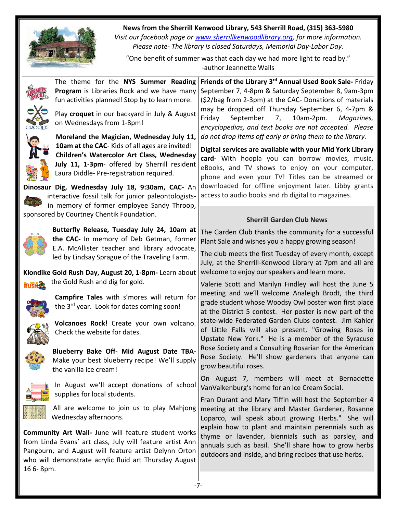

**News from the Sherrill Kenwood Library, 543 Sherrill Road, (315) 363-5980**

*Visit our facebook page or [www.sherrillkenwoodlibrary.org,](http://www.sherrillkenwoodlibrary.org/) for more information. Please note- The library is closed Saturdays, Memorial Day-Labor Day.*

"One benefit of summer was that each day we had more light to read by." -author Jeannette Walls

|           | The theme for the NYS Summer Reading<br>Program is Libraries Rock and we have many<br>fun activities planned! Stop by to learn more.<br>Play croquet in our backyard in July & August<br>on Wednesdays from 1-8pm!<br>Moreland the Magician, Wednesday July 11,<br>10am at the CAC- Kids of all ages are invited!<br>Children's Watercolor Art Class, Wednesday<br>July 11, 1-3pm- offered by Sherrill resident<br>Laura Diddle- Pre-registration required.<br>Dinosaur Dig, Wednesday July 18, 9:30am, CAC- An<br>interactive fossil talk for junior paleontologists- | Friends of the Library 3rd Annual Used Book Sale- Friday<br>September 7, 4-8pm & Saturday September 8, 9am-3pm<br>(\$2/bag from 2-3pm) at the CAC- Donations of materials<br>may be dropped off Thursday September 6, 4-7pm &<br>Friday<br>September<br>10am-2pm.<br>7,<br>Magazines,<br>encyclopedias, and text books are not accepted. Please<br>do not drop items off early or bring them to the library.<br>Digital services are available with your Mid York Library<br>card- With hoopla you can borrow movies, music,<br>eBooks, and TV shows to enjoy on your computer,<br>phone and even your TV! Titles can be streamed or<br>downloaded for offline enjoyment later. Libby grants<br>access to audio books and rb digital to magazines. |
|-----------|------------------------------------------------------------------------------------------------------------------------------------------------------------------------------------------------------------------------------------------------------------------------------------------------------------------------------------------------------------------------------------------------------------------------------------------------------------------------------------------------------------------------------------------------------------------------|----------------------------------------------------------------------------------------------------------------------------------------------------------------------------------------------------------------------------------------------------------------------------------------------------------------------------------------------------------------------------------------------------------------------------------------------------------------------------------------------------------------------------------------------------------------------------------------------------------------------------------------------------------------------------------------------------------------------------------------------------|
|           | in memory of former employee Sandy Throop,                                                                                                                                                                                                                                                                                                                                                                                                                                                                                                                             |                                                                                                                                                                                                                                                                                                                                                                                                                                                                                                                                                                                                                                                                                                                                                    |
|           | sponsored by Courtney Chentik Foundation.                                                                                                                                                                                                                                                                                                                                                                                                                                                                                                                              | <b>Sherrill Garden Club News</b>                                                                                                                                                                                                                                                                                                                                                                                                                                                                                                                                                                                                                                                                                                                   |
|           | Butterfly Release, Tuesday July 24, 10am at<br>the CAC- In memory of Deb Getman, former<br>E.A. McAllister teacher and library advocate,<br>led by Lindsay Sprague of the Traveling Farm.                                                                                                                                                                                                                                                                                                                                                                              | The Garden Club thanks the community for a successful<br>Plant Sale and wishes you a happy growing season!<br>The club meets the first Tuesday of every month, except<br>July, at the Sherrill-Kenwood Library at 7pm and all are                                                                                                                                                                                                                                                                                                                                                                                                                                                                                                                  |
|           | Klondike Gold Rush Day, August 20, 1-8pm- Learn about                                                                                                                                                                                                                                                                                                                                                                                                                                                                                                                  | welcome to enjoy our speakers and learn more.                                                                                                                                                                                                                                                                                                                                                                                                                                                                                                                                                                                                                                                                                                      |
|           | the Gold Rush and dig for gold.                                                                                                                                                                                                                                                                                                                                                                                                                                                                                                                                        | Valerie Scott and Marilyn Findley will host the June 5                                                                                                                                                                                                                                                                                                                                                                                                                                                                                                                                                                                                                                                                                             |
|           | Campfire Tales with s'mores will return for<br>the 3 <sup>rd</sup> year. Look for dates coming soon!                                                                                                                                                                                                                                                                                                                                                                                                                                                                   | meeting and we'll welcome Analeigh Brodt, the third<br>grade student whose Woodsy Owl poster won first place<br>at the District 5 contest. Her poster is now part of the                                                                                                                                                                                                                                                                                                                                                                                                                                                                                                                                                                           |
|           | Volcanoes Rock! Create your own volcano.<br>Check the website for dates.                                                                                                                                                                                                                                                                                                                                                                                                                                                                                               | state-wide Federated Garden Clubs contest. Jim Kahler<br>of Little Falls will also present, "Growing Roses in<br>Upstate New York." He is a member of the Syracuse                                                                                                                                                                                                                                                                                                                                                                                                                                                                                                                                                                                 |
|           | Blueberry Bake Off- Mid August Date TBA-<br>Make your best blueberry recipe! We'll supply<br>the vanilla ice cream!                                                                                                                                                                                                                                                                                                                                                                                                                                                    | Rose Society and a Consulting Rosarian for the American<br>Rose Society. He'll show gardeners that anyone can<br>grow beautiful roses.                                                                                                                                                                                                                                                                                                                                                                                                                                                                                                                                                                                                             |
|           | In August we'll accept donations of school<br>supplies for local students.                                                                                                                                                                                                                                                                                                                                                                                                                                                                                             | On August 7, members will meet at Bernadette<br>VanValkenburg's home for an Ice Cream Social.                                                                                                                                                                                                                                                                                                                                                                                                                                                                                                                                                                                                                                                      |
|           | All are welcome to join us to play Mahjong<br>Wednesday afternoons.                                                                                                                                                                                                                                                                                                                                                                                                                                                                                                    | Fran Durant and Mary Tiffin will host the September 4<br>meeting at the library and Master Gardener, Rosanne<br>Loparco, will speak about growing Herbs." She will                                                                                                                                                                                                                                                                                                                                                                                                                                                                                                                                                                                 |
| 16 6-8pm. | <b>Community Art Wall-</b> June will feature student works<br>from Linda Evans' art class, July will feature artist Ann<br>Pangburn, and August will feature artist Delynn Orton<br>who will demonstrate acrylic fluid art Thursday August                                                                                                                                                                                                                                                                                                                             | explain how to plant and maintain perennials such as<br>thyme or lavender, biennials such as parsley, and<br>annuals such as basil. She'll share how to grow herbs<br>outdoors and inside, and bring recipes that use herbs.                                                                                                                                                                                                                                                                                                                                                                                                                                                                                                                       |
|           | $-7-$                                                                                                                                                                                                                                                                                                                                                                                                                                                                                                                                                                  |                                                                                                                                                                                                                                                                                                                                                                                                                                                                                                                                                                                                                                                                                                                                                    |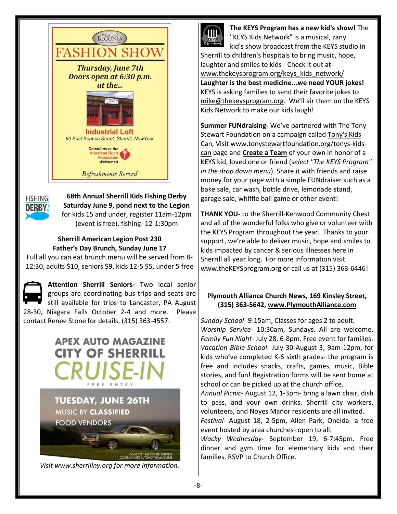



**68th Annual Sherrill Kids Fishing Derby Saturday June 9, pond next to the Legion** for kids 15 and under, register 11am-12pm (event is free), fishing- 12-1:30pm

# **Sherrill American Legion Post 230 Father's Day Brunch, Sunday June 17**

Full all you can eat brunch menu will be served from 8- 12:30, adults \$10, seniors \$9, kids 12-5 \$5, under 5 free

**Attention Sherrill Seniors-** Two local senior groups are coordinating bus trips and seats are still available for trips to Lancaster, PA August 28-30, Niagara Falls October 2-4 and more. Please contact Renee Stone for details, (315) 363-4557.

# **APEX AUTO MAGAZINE CITY OF SHERRILL** FREE ENTRY **TUESDAY, JUNE 26TH MUSIC BY CLASSIFIED FOOD VENDORS**

*Visit [www.sherrillny.org](http://www.sherrillny.org/) for more information.* 

COME SEE: 1969 DODGE SUPERBEE<br>COVER OF APEX AUTOMOTIVE MAGAZINE



**The KEYS Program has a new kid's show!** The "KEYS Kids Network" is a musical, zany kid's show broadcast from the KEYS studio in

Sherrill to children's hospitals to bring music, hope, laughter and smiles to kids- Check it out at[www.thekeysprogram.org/keys\\_kids\\_network/](http://www.thekeysprogram.org/keys_kids_network/) **Laughter is the best medicine...we need YOUR jokes!** KEYS is asking families to send their favorite jokes to [mike@thekeysprogram.org](mailto:mike@thekeysprogram.org). We'll air them on the KEYS Kids Network to make our kids laugh!

**Summer FUNdraising-** We've partnered with [The Tony](http://em.networkforgood.com/wf/click?upn=8hsTN23QqYBVq46vozmxzY85qRURW9DLqjsZ6qVAqq54DbWfm7CgCkM-2B64NYp1aI_siPFZsWk4EDUNwljk2TOnjeJNgY5SdVK-2F3eKJpmPZ6zKEalawxpGDmBkhEroxVYxPuQXofv8-2F3qtF4EyEfxajoxqdhTZ-2F6EbgUYjYDN-2FYyITP-2FW-2FWtzQUZgTV6fD-2BkwxhqZ-2FwAyzJ4DrRY4X3LI86Bet23fl3AJoIop0uoAB2ckz7Wd82G4LOEmYdJrBQr2fpyMvqLP-2FSPg4QB7XMpG3lE4fAEPrN2Poi4-2FMszoWDGcg1fCxNvDrHJb1s1Ii67Rug5AVaJ2XqMcI2QvScin6TUuCNtRLhNnLPKkczcFbge0CX3Xgk7c8MueKRRbLgE8wz8x9JmX2tHQx9qXIETT8De-2B4PyHVs0oFSk7VormIR4nVfZe2B7wuQm32AWF9WQDe)  [Stewart Foundation](http://em.networkforgood.com/wf/click?upn=8hsTN23QqYBVq46vozmxzY85qRURW9DLqjsZ6qVAqq54DbWfm7CgCkM-2B64NYp1aI_siPFZsWk4EDUNwljk2TOnjeJNgY5SdVK-2F3eKJpmPZ6zKEalawxpGDmBkhEroxVYxPuQXofv8-2F3qtF4EyEfxajoxqdhTZ-2F6EbgUYjYDN-2FYyITP-2FW-2FWtzQUZgTV6fD-2BkwxhqZ-2FwAyzJ4DrRY4X3LI86Bet23fl3AJoIop0uoAB2ckz7Wd82G4LOEmYdJrBQr2fpyMvqLP-2FSPg4QB7XMpG3lE4fAEPrN2Poi4-2FMszoWDGcg1fCxNvDrHJb1s1Ii67Rug5AVaJ2XqMcI2QvScin6TUuCNtRLhNnLPKkczcFbge0CX3Xgk7c8MueKRRbLgE8wz8x9JmX2tHQx9qXIETT8De-2B4PyHVs0oFSk7VormIR4nVfZe2B7wuQm32AWF9WQDe) on a campaign called [Tony's Kids](http://em.networkforgood.com/wf/click?upn=KdGPYe-2BJDLILl6-2F1JXAx-2BzPcckQN3oClnaXTjCWXB-2B8l6duJakcfcCzz2iJZNjZMckS8FJ9nVsreh0N-2FpXPilQ-3D-3D_siPFZsWk4EDUNwljk2TOnjeJNgY5SdVK-2F3eKJpmPZ6zKEalawxpGDmBkhEroxVYxPuQXofv8-2F3qtF4EyEfxajoxqdhTZ-2F6EbgUYjYDN-2FYyITP-2FW-2FWtzQUZgTV6fD-2BkwxhqZ-2FwAyzJ4DrRY4X3LI86Bet23fl3AJoIop0uoAB2ckz7Wd82G4LOEmYdJrBQr2fI-2BodieQfv9Z7eFdcsUQuy2ElTujUliEto-2BcwPX6gefR0j4JcuS5W5bQMc72mphYP1tbUSCRI2g2HeybPiWPNxj7IeU59YzZePd50beV6KXdBkI-2FC-2BnuDHdnWR19MhqzJAtjgc3Y5Z4JcWT7dlJ6qha8JbHjIQe-2BdG-2BZWKJfrf60m4HHqnF4md2-2BJmBn3tHpW)  [Can,](http://em.networkforgood.com/wf/click?upn=KdGPYe-2BJDLILl6-2F1JXAx-2BzPcckQN3oClnaXTjCWXB-2B8l6duJakcfcCzz2iJZNjZMckS8FJ9nVsreh0N-2FpXPilQ-3D-3D_siPFZsWk4EDUNwljk2TOnjeJNgY5SdVK-2F3eKJpmPZ6zKEalawxpGDmBkhEroxVYxPuQXofv8-2F3qtF4EyEfxajoxqdhTZ-2F6EbgUYjYDN-2FYyITP-2FW-2FWtzQUZgTV6fD-2BkwxhqZ-2FwAyzJ4DrRY4X3LI86Bet23fl3AJoIop0uoAB2ckz7Wd82G4LOEmYdJrBQr2fI-2BodieQfv9Z7eFdcsUQuy2ElTujUliEto-2BcwPX6gefR0j4JcuS5W5bQMc72mphYP1tbUSCRI2g2HeybPiWPNxj7IeU59YzZePd50beV6KXdBkI-2FC-2BnuDHdnWR19MhqzJAtjgc3Y5Z4JcWT7dlJ6qha8JbHjIQe-2BdG-2BZWKJfrf60m4HHqnF4md2-2BJmBn3tHpW) Visi[t www.tonystewartfoundation.org/tonys-kids](http://www.tonystewartfoundation.org/tonys-kids-can)[can](http://www.tonystewartfoundation.org/tonys-kids-can) page and **[Create a Team](http://em.networkforgood.com/wf/click?upn=KdGPYe-2BJDLILl6-2F1JXAx-2BzPcckQN3oClnaXTjCWXB-2B8l6duJakcfcCzz2iJZNjZMckS8FJ9nVsreh0N-2FpXPilQ-3D-3D_siPFZsWk4EDUNwljk2TOnjeJNgY5SdVK-2F3eKJpmPZ6zKEalawxpGDmBkhEroxVYxPuQXofv8-2F3qtF4EyEfxajoxqdhTZ-2F6EbgUYjYDN-2FYyITP-2FW-2FWtzQUZgTV6fD-2BkwxhqZ-2FwAyzJ4DrRY4X3LI86Bet23fl3AJoIop0uoAB2ckz7Wd82G4LOEmYdJrBQr2fMtvolhBDP7ssncTF0O3rRTxU-2Fv1eV6uldITcnO2tnQRG9CPyy8KnYik3lCZGaK4SaNiPi-2F0G5Rws9LNl20RiWGFGea7MYgVmEfzS3CEH02n0b-2FBfEvk4yF5rtER3syOkZyyMwBbKQjmo8eL6O0GXPmE29bPZvvJ0vQgUqkd3EHvJteua0wddfdZd7FujfB9Y)** of your own in honor of a KEYS kid, loved one or friend (s*elect "The KEYS Program" in the drop down menu*). Share it with friends and raise money for your page with a simple FUNdraiser such as a bake sale, car wash, bottle drive, lemonade stand, garage sale, whiffle ball game or other event!

**THANK YOU-** to the Sherrill-Kenwood Community Chest and all of the wonderful folks who give or volunteer with the KEYS Program throughout the year. Thanks to your support, we're able to deliver music, hope and smiles to kids impacted by cancer & serious illnesses here in Sherrill all year long. For more information visit [www.theKEYSprogram.org](http://www.thekeysprogram.org/) or call us at (315) 363-6446!

# **Plymouth Alliance Church News, 169 Kinsley Street, (315) 363-5642, [www.PlymouthAlliance.com](http://www.plymouthalliance.com/)**

*Sunday School*- 9:15am, Classes for ages 2 to adult. *Worship Service*- 10:30am, Sundays. All are welcome. *Family Fun Night-* July 28, 6-8pm. Free event for families. *Vacation Bible School-* July 30-August 3, 9am-12pm, for kids who've completed K-6 sixth grades- the program is free and includes snacks, crafts, games, music, Bible stories, and fun! Registration forms will be sent home at school or can be picked up at the church office. *Annual Picnic*- August 12, 1-3pm- bring a lawn chair, dish to pass, and your own drinks. Sherrill city workers, volunteers, and Noyes Manor residents are all invited.

*Festival-* August 18, 2-5pm, Allen Park, Oneida- a free event hosted by area churches- open to all.

*Wacky Wednesday*- September 19, 6-7:45pm. Free dinner and gym time for elementary kids and their families. RSVP to Church Office.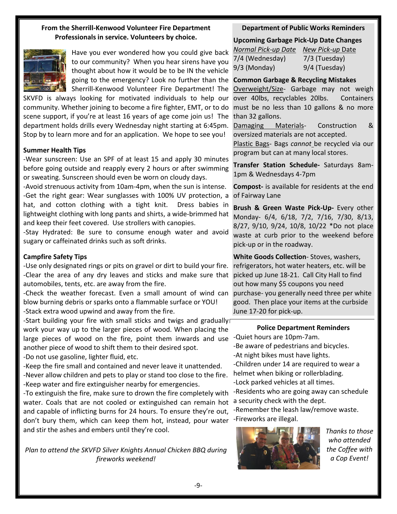### **From the Sherrill-Kenwood Volunteer Fire Department Professionals in service. Volunteers by choice.**



Have you ever wondered how you could give back to our community? When you hear sirens have you thought about how it would be to be IN the vehicle going to the emergency? Look no further than the **Common Garbage & Recycling Mistakes** Sherrill-Kenwood Volunteer Fire Department! The

SKVFD is always looking for motivated individuals to help our over 40lbs, recyclables 20lbs. Containers community. Whether joining to become a fire fighter, EMT, or to do scene support, if you're at least 16 years of age come join us! The department holds drills every Wednesday night starting at 6:45pm. Stop by to learn more and for an application. We hope to see you!

#### **Summer Health Tips**

-Wear sunscreen: Use an SPF of at least 15 and apply 30 minutes before going outside and reapply every 2 hours or after swimming or sweating. Sunscreen should even be worn on cloudy days.

-Avoid strenuous activity from 10am-4pm, when the sun is intense. -Get the right gear: Wear sunglasses with 100% UV protection, a hat, and cotton clothing with a tight knit. Dress babies in lightweight clothing with long pants and shirts, a wide-brimmed hat and keep their feet covered. Use strollers with canopies.

-Stay Hydrated: Be sure to consume enough water and avoid sugary or caffeinated drinks such as soft drinks.

#### **Campfire Safety Tips**

-Use only designated rings or pits on gravel or dirt to build your fire. -Clear the area of any dry leaves and sticks and make sure that automobiles, tents, etc. are away from the fire.

-Check the weather forecast. Even a small amount of wind can blow burning debris or sparks onto a flammable surface or YOU! -Stack extra wood upwind and away from the fire.

-Start building your fire with small sticks and twigs and gradually work your way up to the larger pieces of wood. When placing the large pieces of wood on the fire, point them inwards and use another piece of wood to shift them to their desired spot.

-Do not use gasoline, lighter fluid, etc.

-Keep the fire small and contained and never leave it unattended. -Never allow children and pets to play or stand too close to the fire. -Keep water and fire extinguisher nearby for emergencies.

-To extinguish the fire, make sure to drown the fire completely with water. Coals that are not cooled or extinguished can remain hot and capable of inflicting burns for 24 hours. To ensure they're out, don't bury them, which can keep them hot, instead, pour water -Fireworks are illegal. and stir the ashes and embers until they're cool.

*Plan to attend the SKVFD Silver Knights Annual Chicken BBQ during fireworks weekend!*

# **Department of Public Works Reminders**

**Upcoming Garbage Pick-Up Date Changes**

*Normal Pick-up Date New Pick-up* Date 7/4 (Wednesday) 7/3 (Tuesday) 9/3 (Monday) 9/4 (Tuesday)

Overweight/Size- Garbage may not weigh must be no less than 10 gallons & no more than 32 gallons.

Damaging Materials- Construction & oversized materials are not accepted.

Plastic Bags- Bags *cannot* be recycled via our program but can at many local stores.

**Transfer Station Schedule-** Saturdays 8am-1pm & Wednesdays 4-7pm

**Compost-** is available for residents at the end of Fairway Lane

**Brush & Green Waste Pick-Up-** Every other Monday- 6/4, 6/18, 7/2, 7/16, 7/30, 8/13, 8/27, 9/10, 9/24, 10/8, 10/22 \*Do not place waste at curb prior to the weekend before pick-up or in the roadway.

**White Goods Collection**- Stoves, washers, refrigerators, hot water heaters, etc. will be picked up June 18-21. Call City Hall to find out how many \$5 coupons you need purchase- you generally need three per white good. Then place your items at the curbside June 17-20 for pick-up.

#### **Police Department Reminders**

-Quiet hours are 10pm-7am.

-Be aware of pedestrians and bicycles.

-At night bikes must have lights.

-Children under 14 are required to wear a helmet when biking or rollerblading. -Lock parked vehicles at all times.

-Residents who are going away can schedule a security check with the dept.

-Remember the leash law/remove waste.



*Thanks to those who attended the Coffee with a Cop Event!*